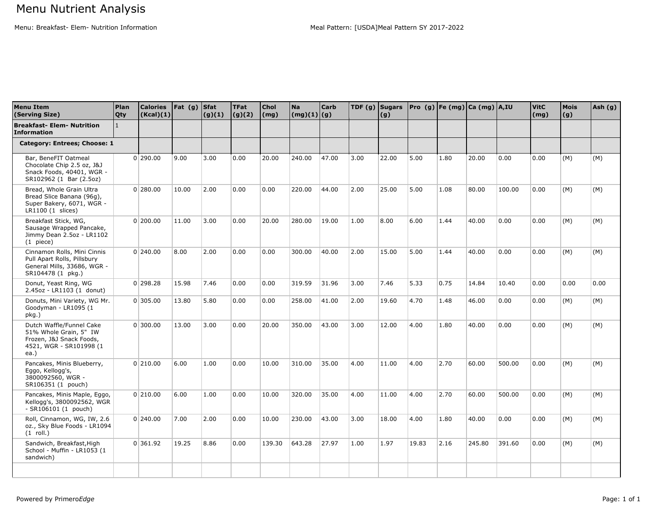Menu: Breakfast- Elem- Nutrition Information Meal Pattern: [USDA]Meal Pattern: [USDA]Meal Pattern SY 2017-2022

| <b>Menu Item</b><br>(Serving Size)                                                                                | Plan<br>Qty    | <b>Calories</b><br>(Kcal)(1) | Fat(g) | <b>Sfat</b><br>(g)(1) | <b>TFat</b><br>(g)(2) | Chol<br>(mg) | Na<br>$\lfloor (mg)(1) \rfloor$ (g) | <b>Carb</b> | TDF $(g)$ Sugars | (g)   |       |      | Pro $(g)$ Fe (mg) Ca (mg) A, IU |        | <b>VitC</b><br>(mg) | <b>Mois</b><br>(g) | Ash (g) |
|-------------------------------------------------------------------------------------------------------------------|----------------|------------------------------|--------|-----------------------|-----------------------|--------------|-------------------------------------|-------------|------------------|-------|-------|------|---------------------------------|--------|---------------------|--------------------|---------|
| <b>Breakfast- Elem- Nutrition</b><br><b>Information</b>                                                           | $\overline{1}$ |                              |        |                       |                       |              |                                     |             |                  |       |       |      |                                 |        |                     |                    |         |
| Category: Entrees; Choose: 1                                                                                      |                |                              |        |                       |                       |              |                                     |             |                  |       |       |      |                                 |        |                     |                    |         |
| Bar, BeneFIT Oatmeal<br>Chocolate Chip 2.5 oz, J&J<br>Snack Foods, 40401, WGR -<br>SR102962 (1 Bar (2.5oz)        |                | $0$  290.00                  | 9.00   | 3.00                  | 0.00                  | 20.00        | 240.00                              | 47.00       | 3.00             | 22.00 | 5.00  | 1.80 | 20.00                           | 0.00   | 0.00                | (M)                | (M)     |
| Bread, Whole Grain Ultra<br>Bread Slice Banana (96g),<br>Super Bakery, 6071, WGR -<br>$LR1100(1 \text{ slices})$  |                | 0 280.00                     | 10.00  | 2.00                  | 0.00                  | 0.00         | 220.00                              | 44.00       | 2.00             | 25.00 | 5.00  | 1.08 | 80.00                           | 100.00 | 0.00                | (M)                | (M)     |
| Breakfast Stick, WG,<br>Sausage Wrapped Pancake,<br>Jimmy Dean 2.5oz - LR1102<br>$(1)$ piece)                     |                | 0 200.00                     | 11.00  | 3.00                  | 0.00                  | 20.00        | 280.00                              | 19.00       | 1.00             | 8.00  | 6.00  | 1.44 | 40.00                           | 0.00   | 0.00                | (M)                | (M)     |
| Cinnamon Rolls, Mini Cinnis<br>Pull Apart Rolls, Pillsbury<br>General Mills, 33686, WGR -<br>SR104478 (1 pkg.)    |                | 0 240.00                     | 8.00   | 2.00                  | 0.00                  | 0.00         | 300.00                              | 40.00       | 2.00             | 15.00 | 5.00  | 1.44 | 40.00                           | 0.00   | 0.00                | (M)                | (M)     |
| Donut, Yeast Ring, WG<br>2.45oz - LR1103 (1 donut)                                                                |                | $0$   298.28                 | 15.98  | 7.46                  | 0.00                  | 0.00         | 319.59                              | 31.96       | 3.00             | 7.46  | 5.33  | 0.75 | 14.84                           | 10.40  | 0.00                | 0.00               | 0.00    |
| Donuts, Mini Variety, WG Mr.<br>Goodyman - LR1095 (1<br>pkg.)                                                     |                | 0 305.00                     | 13.80  | 5.80                  | 0.00                  | 0.00         | 258.00                              | 41.00       | 2.00             | 19.60 | 4.70  | 1.48 | 46.00                           | 0.00   | 0.00                | (M)                | (M)     |
| Dutch Waffle/Funnel Cake<br>51% Whole Grain, 5" IW<br>Frozen, J&J Snack Foods,<br>4521, WGR - SR101998 (1<br>ea.) |                | 0 300.00                     | 13.00  | 3.00                  | 0.00                  | 20.00        | 350.00                              | 43.00       | 3.00             | 12.00 | 4.00  | 1.80 | 40.00                           | 0.00   | 0.00                | (M)                | (M)     |
| Pancakes, Minis Blueberry,<br>Eggo, Kellogg's,<br>3800092560, WGR -<br>SR106351 (1 pouch)                         |                | 0 210.00                     | 6.00   | 1.00                  | 0.00                  | 10.00        | 310.00                              | 35.00       | 4.00             | 11.00 | 4.00  | 2.70 | 60.00                           | 500.00 | 0.00                | (M)                | (M)     |
| Pancakes, Minis Maple, Eggo,<br>Kellogg's, 3800092562, WGR<br>$-$ SR106101 (1 pouch)                              |                | 0 210.00                     | 6.00   | 1.00                  | 0.00                  | 10.00        | 320.00                              | 35.00       | 4.00             | 11.00 | 4.00  | 2.70 | 60.00                           | 500.00 | 0.00                | (M)                | (M)     |
| Roll, Cinnamon, WG, IW, 2.6<br>oz., Sky Blue Foods - LR1094<br>$(1$ roll.)                                        |                | 0 240.00                     | 7.00   | 2.00                  | 0.00                  | 10.00        | 230.00                              | 43.00       | 3.00             | 18.00 | 4.00  | 1.80 | 40.00                           | 0.00   | 0.00                | (M)                | (M)     |
| Sandwich, Breakfast, High<br>School - Muffin - LR1053 (1<br>sandwich)                                             |                | 0 361.92                     | 19.25  | 8.86                  | 0.00                  | 139.30       | 643.28                              | 27.97       | 1.00             | 1.97  | 19.83 | 2.16 | 245.80                          | 391.60 | 0.00                | (M)                | (M)     |
|                                                                                                                   |                |                              |        |                       |                       |              |                                     |             |                  |       |       |      |                                 |        |                     |                    |         |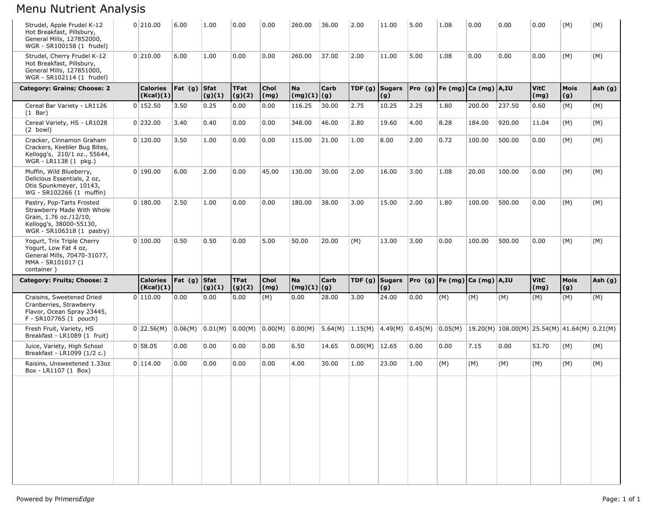## Menu Nutrient Analysis

| Strudel, Apple Frudel K-12<br>Hot Breakfast, Pillsbury,<br>General Mills, 127852000,<br>WGR - SR100158 (1 frudel)                         | 0 210.00                     | 6.00      | 1.00                  | 0.00                  | 0.00                | 260.00                                        | 36.00       | 2.00             | 11.00 | 5.00 | 1.08 | 0.00                            | 0.00                                                                                                                   | 0.00                | (M)                | (M)       |
|-------------------------------------------------------------------------------------------------------------------------------------------|------------------------------|-----------|-----------------------|-----------------------|---------------------|-----------------------------------------------|-------------|------------------|-------|------|------|---------------------------------|------------------------------------------------------------------------------------------------------------------------|---------------------|--------------------|-----------|
| Strudel, Cherry Frudel K-12<br>Hot Breakfast, Pillsbury,<br>General Mills, 127851000,<br>WGR - SR102114 (1 frudel)                        | 0 210.00                     | 6.00      | 1.00                  | 0.00                  | 0.00                | 260.00                                        | 37.00       | 2.00             | 11.00 | 5.00 | 1.08 | 0.00                            | 0.00                                                                                                                   | 0.00                | (M)                | (M)       |
| Category: Grains; Choose: 2                                                                                                               | <b>Calories</b><br>(Kcal)(1) | Fat $(g)$ | <b>Sfat</b><br>(g)(1) | <b>TFat</b><br>(g)(2) | <b>Chol</b><br>(mg) | <b>Na</b><br>(mg)(1)                          | Carb<br>(g) | TDF $(g)$ Sugars | (g)   |      |      | Pro (g)  Fe (mg)  Ca (mg)  A,IU |                                                                                                                        | <b>VitC</b><br>(mg) | <b>Mois</b><br>(g) | Ash (g)   |
| Cereal Bar Variety - LR1126<br>$(1$ Bar)                                                                                                  | 0 152.50                     | 3.50      | 0.25                  | 0.00                  | 0.00                | 116.25                                        | 30.00       | 2.75             | 10.25 | 2.25 | 1.80 | 200.00                          | 237.50                                                                                                                 | 0.60                | (M)                | (M)       |
| Cereal Variety, HS - LR1028<br>$(2$ bowl)                                                                                                 | 0 232.00                     | 3.40      | 0.40                  | 0.00                  | 0.00                | 348.00                                        | 46.00       | 2.80             | 19.60 | 4.00 | 8.28 | 184.00                          | 920.00                                                                                                                 | 11.04               | (M)                | (M)       |
| Cracker, Cinnamon Graham<br>Crackers, Keebler Bug Bites,<br>Kellogg's, 210/1 oz., 55644,<br>WGR - LR1138 (1 pkg.)                         | 0 120.00                     | 3.50      | 1.00                  | 0.00                  | 0.00                | 115.00                                        | 21.00       | 1.00             | 8.00  | 2.00 | 0.72 | 100.00                          | 500.00                                                                                                                 | 0.00                | (M)                | (M)       |
| Muffin, Wild Blueberry,<br>Delicious Essentials, 2 oz,<br>Otis Spunkmeyer, 10143,<br>WG - SR102266 (1 muffin)                             | 0 190.00                     | 6.00      | 2.00                  | 0.00                  | 45.00               | 130.00                                        | 30.00       | 2.00             | 16.00 | 3.00 | 1.08 | 20.00                           | 100.00                                                                                                                 | 0.00                | (M)                | (M)       |
| Pastry, Pop-Tarts Frosted<br>Strawberry Made With Whole<br>Grain, 1.76 oz./12/10,<br>Kellogg's, 38000-55130,<br>WGR - SR106318 (1 pastry) | 0 180.00                     | 2.50      | 1.00                  | 0.00                  | 0.00                | 180.00                                        | 38.00       | 3.00             | 15.00 | 2.00 | 1.80 | 100.00                          | 500.00                                                                                                                 | 0.00                | (M)                | (M)       |
| Yogurt, Trix Triple Cherry<br>Yogurt, Low Fat 4 oz,<br>General Mills, 70470-31077,                                                        | 0 100.00                     | 0.50      | 0.50                  | 0.00                  | 5.00                | 50.00                                         | 20.00       | (M)              | 13.00 | 3.00 | 0.00 | 100.00                          | 500.00                                                                                                                 | 0.00                | (M)                | (M)       |
| MMA - SR101017 (1<br>container)                                                                                                           |                              |           |                       |                       |                     |                                               |             |                  |       |      |      |                                 |                                                                                                                        |                     |                    |           |
| Category: Fruits; Choose: 2                                                                                                               | <b>Calories</b><br>(Kcal)(1) | Fat(g)    | <b>Sfat</b><br>(g)(1) | <b>TFat</b><br>(g)(2) | <b>Chol</b><br>(mg) | <b>Na</b><br>$\left  \frac{mg(1)}{g} \right $ | Carb        | TDF $(g)$ Sugars | (g)   |      |      | Pro (g)  Fe (mg)  Ca (mg)  A,IU |                                                                                                                        | <b>VitC</b><br>(mg) | <b>Mois</b><br>(g) | Ash $(g)$ |
| Craisins, Sweetened Dried<br>Cranberries, Strawberry<br>Flavor, Ocean Spray 23445,<br>F - SR107765 (1 pouch)                              | 0 110.00                     | 0.00      | 0.00                  | 0.00                  | (M)                 | 0.00                                          | 28.00       | 3.00             | 24.00 | 0.00 | (M)  | (M)                             | (M)                                                                                                                    | (M)                 | (M)                | (M)       |
| Fresh Fruit, Variety, HS<br>Breakfast - LR1089 (1 fruit)                                                                                  | 0 22.56(M)                   | 0.06(M)   | 0.01(M)               | 0.00(M)               | 0.00(M) 0.00(M)     |                                               | 5.64(M)     | 1.15(M)          |       |      |      |                                 | $\vert 4.49(M) \vert 0.45(M) \vert 0.05(M) \vert 19.20(M) \vert 108.00(M) \vert 25.54(M) \vert 41.64(M) \vert 0.21(M)$ |                     |                    |           |
| Juice, Variety, High School<br>Breakfast - LR1099 (1/2 c.)                                                                                | 0 58.05                      | 0.00      | 0.00                  | 0.00                  | 0.00                | 6.50                                          | 14.65       | 0.00(M)          | 12.65 | 0.00 | 0.00 | 7.15                            | 0.00                                                                                                                   | 53.70               | (M)                | (M)       |
| Raisins, Unsweetened 1.33oz<br>Box - LR1107 (1 Box)                                                                                       | 0 114.00                     | 0.00      | 0.00                  | 0.00                  | 0.00                | 4.00                                          | 30.00       | 1.00             | 23.00 | 1.00 | (M)  | (M)                             | (M)                                                                                                                    | (M)                 | (M)                | (M)       |